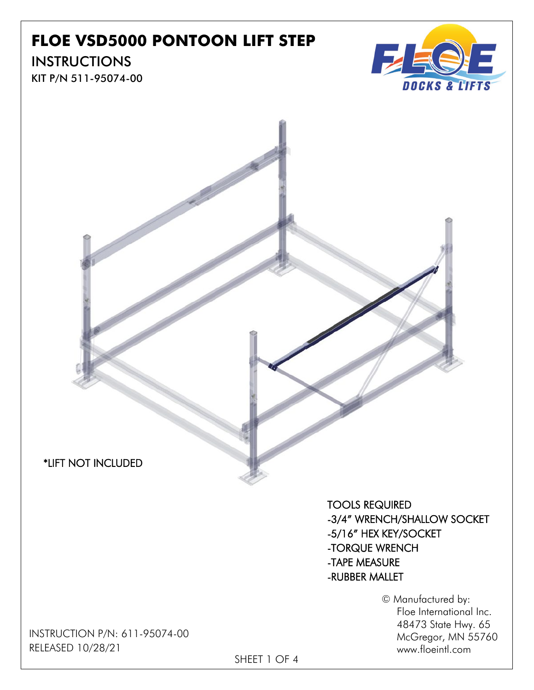## **FLOE VSD5000 PONTOON LIFT STEP**

## **INSTRUCTIONS**

KIT P/N 511-95074-00





TOOLS REQUIRED -3/4" WRENCH/SHALLOW SOCKET -5/16" HEX KEY/SOCKET -TORQUE WRENCH -TAPE MEASURE -RUBBER MALLET

> © Manufactured by: Floe International Inc. 48473 State Hwy. 65 McGregor, MN 55760 www.floeintl.com

INSTRUCTION P/N: 611-95074-00 RELEASED 10/28/21

SHEET 1 OF 4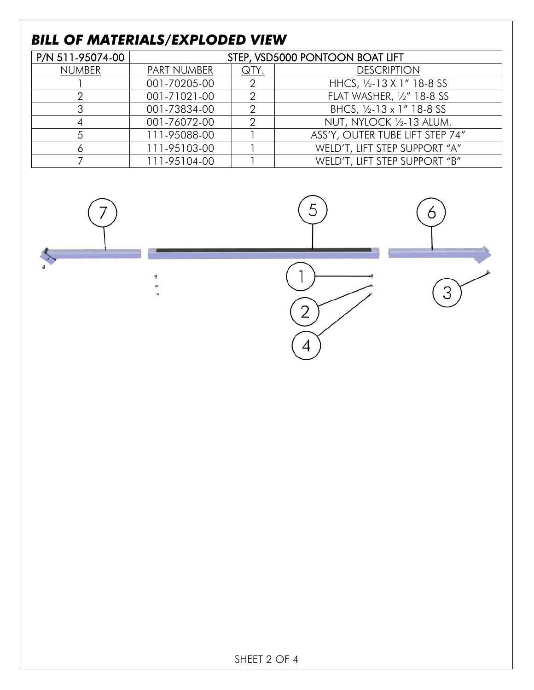## *BILL OF MATERIALS/EXPLODED VIEW*

| P/N 511-95074-00 | STEP, VSD5000 PONTOON BOAT LIFT |      |                                 |
|------------------|---------------------------------|------|---------------------------------|
| <b>NUMBER</b>    | <b>PART NUMBER</b>              | QTY. | <b>DESCRIPTION</b>              |
|                  | 001-70205-00                    |      | HHCS, 1/2-13 X 1" 18-8 SS       |
|                  | 001-71021-00                    |      | FLAT WASHER, 1/2" 18-8 SS       |
|                  | 001-73834-00                    |      | BHCS, 1/2-13 x 1" 18-8 SS       |
|                  | 001-76072-00                    |      | NUT, NYLOCK 1/2-13 ALUM.        |
|                  | 111-95088-00                    |      | ASS'Y, OUTER TUBE LIFT STEP 74" |
|                  | 111-95103-00                    |      | WELD'T, LIFT STEP SUPPORT "A"   |
|                  | 111-95104-00                    |      | WELD'T, LIFT STEP SUPPORT "B"   |

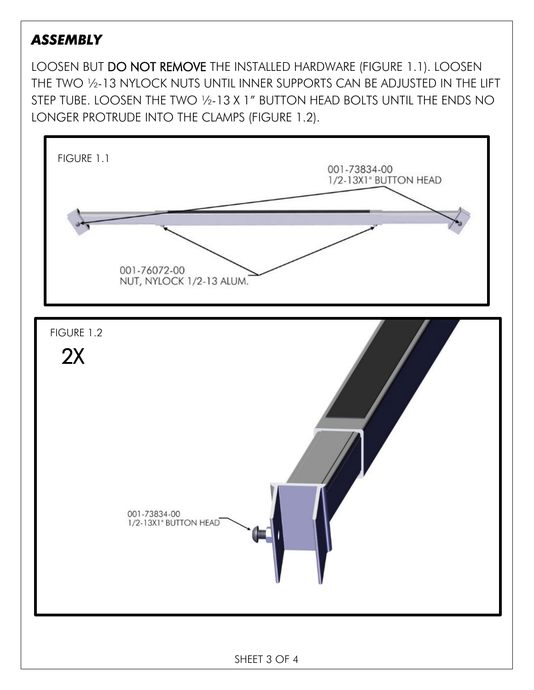## *ASSEMBLY*

LOOSEN BUT DO NOT REMOVE THE INSTALLED HARDWARE (FIGURE 1.1). LOOSEN THE TWO ½-13 NYLOCK NUTS UNTIL INNER SUPPORTS CAN BE ADJUSTED IN THE LIFT STEP TUBE. LOOSEN THE TWO 1/2-13 X 1" BUTTON HEAD BOLTS UNTIL THE ENDS NO LONGER PROTRUDE INTO THE CLAMPS (FIGURE 1.2).